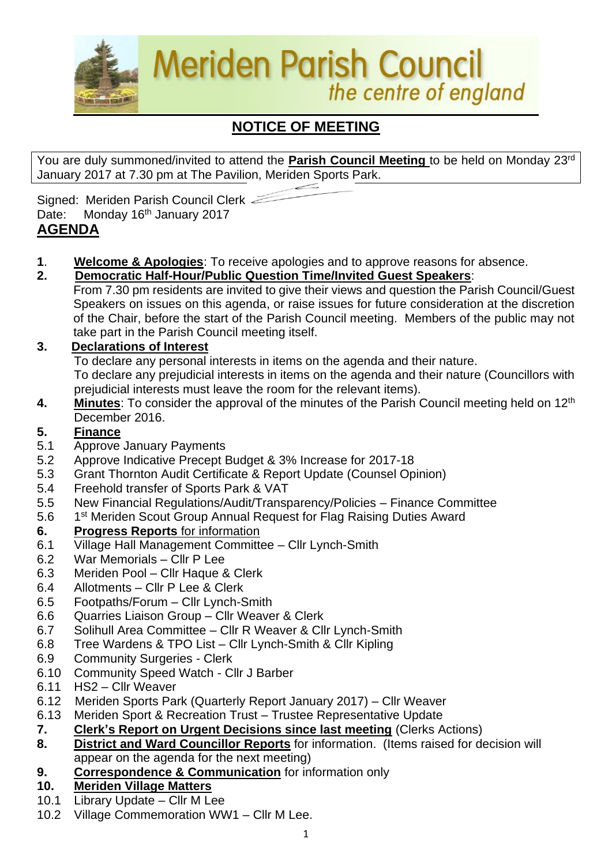

# **NOTICE OF MEETING**

You are duly summoned/invited to attend the **Parish Council Meeting** to be held on Monday 23rd January 2017 at 7.30 pm at The Pavilion, Meriden Sports Park.

Signed: Meriden Parish Council Clerk Date: Monday 16<sup>th</sup> January 2017

# **AGENDA**

- **1**. **Welcome & Apologies**: To receive apologies and to approve reasons for absence.
- **2. Democratic Half-Hour/Public Question Time/Invited Guest Speakers**:
	- From 7.30 pm residents are invited to give their views and question the Parish Council/Guest Speakers on issues on this agenda, or raise issues for future consideration at the discretion of the Chair, before the start of the Parish Council meeting. Members of the public may not take part in the Parish Council meeting itself.

### **3. Declarations of Interest**

To declare any personal interests in items on the agenda and their nature.

To declare any prejudicial interests in items on the agenda and their nature (Councillors with prejudicial interests must leave the room for the relevant items).

**4.** Minutes: To consider the approval of the minutes of the Parish Council meeting held on 12<sup>th</sup> December 2016.

#### **5. Finance**

- 5.1 Approve January Payments
- 5.2 Approve Indicative Precept Budget & 3% Increase for 2017-18
- 5.3 Grant Thornton Audit Certificate & Report Update (Counsel Opinion)
- 5.4 Freehold transfer of Sports Park & VAT
- 5.5 New Financial Regulations/Audit/Transparency/Policies Finance Committee
- 5.6 1 1<sup>st</sup> Meriden Scout Group Annual Request for Flag Raising Duties Award

#### **6. Progress Reports** for information

- 6.1 Village Hall Management Committee Cllr Lynch-Smith
- 6.2 War Memorials Cllr P Lee
- 6.3 Meriden Pool Cllr Haque & Clerk
- 6.4 Allotments Cllr P Lee & Clerk
- 6.5 Footpaths/Forum Cllr Lynch-Smith
- 6.6 Quarries Liaison Group Cllr Weaver & Clerk
- 6.7 Solihull Area Committee Cllr R Weaver & Cllr Lynch-Smith
- 6.8 Tree Wardens & TPO List Cllr Lynch-Smith & Cllr Kipling
- 6.9 Community Surgeries Clerk
- 6.10 Community Speed Watch Cllr J Barber
- 6.11 HS2 Cllr Weaver
- 6.12Meriden Sports Park (Quarterly Report January 2017) Cllr Weaver
- 6.13 Meriden Sport & Recreation Trust Trustee Representative Update
- **7. Clerk's Report on Urgent Decisions since last meeting** (Clerks Actions)
- **8. District and Ward Councillor Reports** for information. (Items raised for decision will appear on the agenda for the next meeting)
- **9. Correspondence & Communication** for information only

#### **10. Meriden Village Matters**

- 10.1 Library Update Cllr M Lee
- 10.2 Village Commemoration WW1 Cllr M Lee.